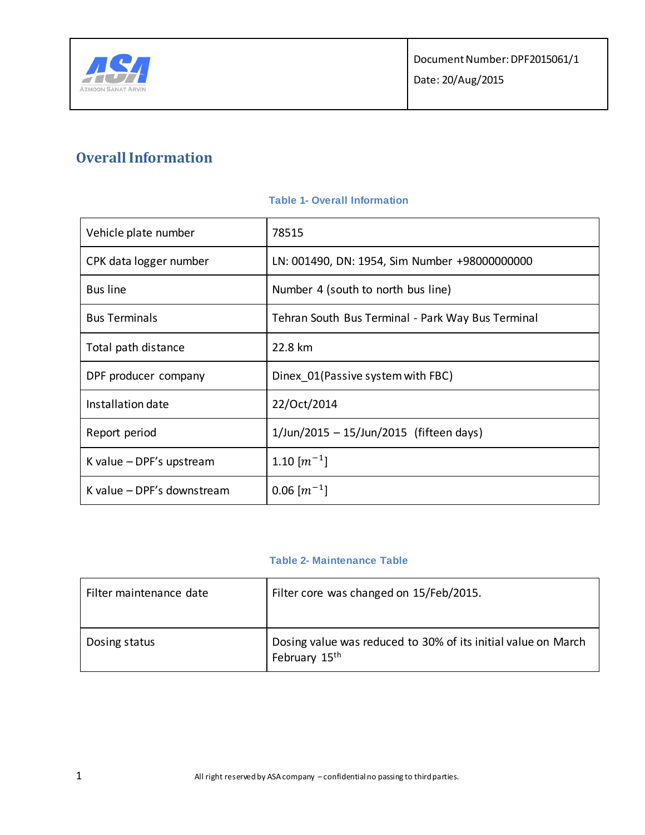

# **Overall Information**

| Vehicle plate number       | 78515                                             |
|----------------------------|---------------------------------------------------|
| CPK data logger number     | LN: 001490, DN: 1954, Sim Number +98000000000     |
| <b>Bus line</b>            | Number 4 (south to north bus line)                |
| <b>Bus Terminals</b>       | Tehran South Bus Terminal - Park Way Bus Terminal |
| Total path distance        | 22.8 km                                           |
| DPF producer company       | Dinex 01 (Passive system with FBC)                |
| Installation date          | 22/Oct/2014                                       |
| Report period              | $1/$ Jun/2015 - 15/Jun/2015 (fifteen days)        |
| K value $-$ DPF's upstream | 1.10 $\lfloor m^{-1} \rfloor$                     |
| K value - DPF's downstream | $0.06$ $\lceil m^{-1} \rceil$                     |

### **Table 1- Overall Information**

### **Table 2- Maintenance Table**

| Filter maintenance date | Filter core was changed on 15/Feb/2015.                                                    |
|-------------------------|--------------------------------------------------------------------------------------------|
| Dosing status           | Dosing value was reduced to 30% of its initial value on March<br>February 15 <sup>th</sup> |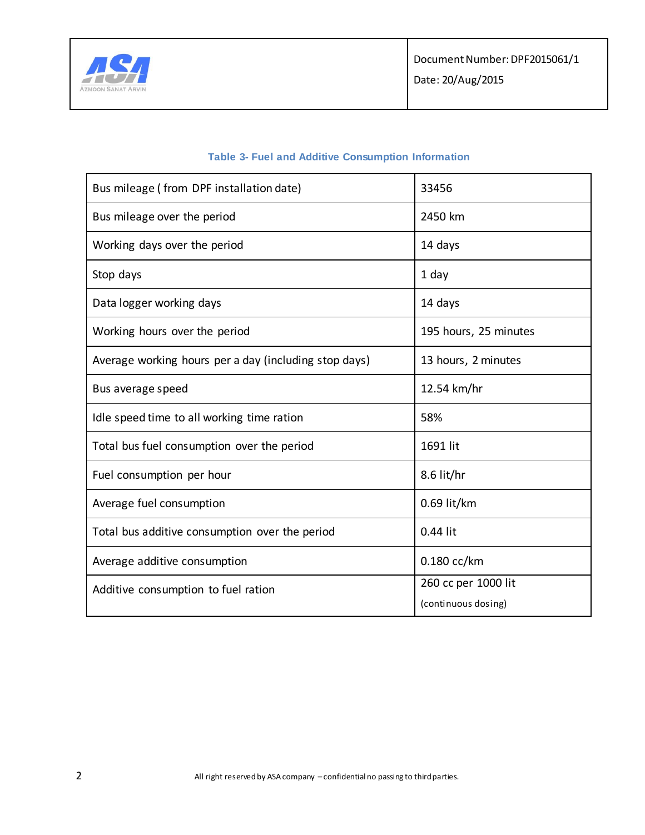

| Bus mileage (from DPF installation date)              | 33456                                      |
|-------------------------------------------------------|--------------------------------------------|
| Bus mileage over the period                           | 2450 km                                    |
| Working days over the period                          | 14 days                                    |
| Stop days                                             | 1 day                                      |
| Data logger working days                              | 14 days                                    |
| Working hours over the period                         | 195 hours, 25 minutes                      |
| Average working hours per a day (including stop days) | 13 hours, 2 minutes                        |
| Bus average speed                                     | 12.54 km/hr                                |
| Idle speed time to all working time ration            | 58%                                        |
| Total bus fuel consumption over the period            | 1691 lit                                   |
| Fuel consumption per hour                             | 8.6 lit/hr                                 |
| Average fuel consumption                              | 0.69 lit/km                                |
| Total bus additive consumption over the period        | 0.44 lit                                   |
| Average additive consumption                          | 0.180 cc/km                                |
| Additive consumption to fuel ration                   | 260 cc per 1000 lit<br>(continuous dosing) |

### **Table 3- Fuel and Additive Consumption Information**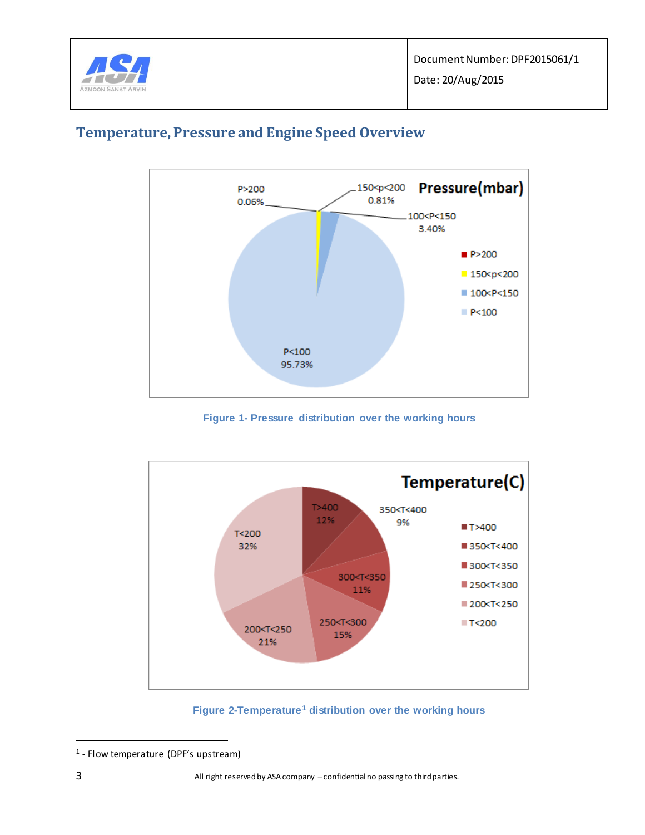

Date: 20/Aug/2015



## **Temperature, Pressure and Engine Speed Overview**

**Figure 1- Pressure distribution over the working hours**

<span id="page-2-0"></span>

**Figure 2-Temperature<sup>1</sup> distribution over the working hours**

<span id="page-2-1"></span> $\ddot{\phantom{a}}$ 

<sup>1</sup> - Flow temperature (DPF's upstream)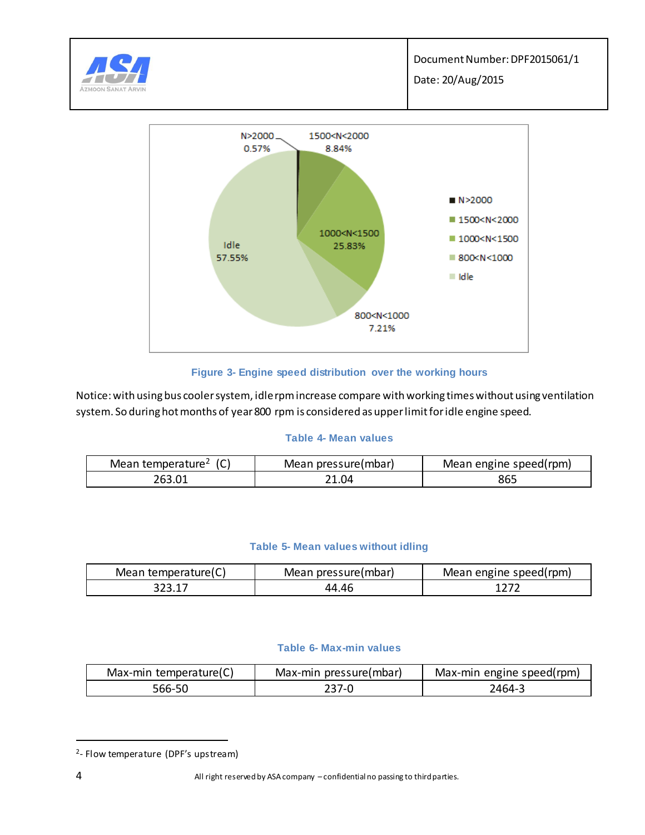



### **Figure 3- Engine speed distribution over the working hours**

Notice: with using bus cooler system, idle rpm increase compare with working times without using ventilation system. So during hot months of year 800 rpm is considered as upper limit for idle engine speed.

### **Table 4- Mean values**

| הו<br>Mean temperature <sup>2</sup> | Mean pressure(mbar) | Mean engine speed(rpm) |
|-------------------------------------|---------------------|------------------------|
|                                     | 21.04               | 865                    |

### **Table 5- Mean values without idling**

| Mean temperature(C) | Mean pressure(mbar) | Mean engine speed(rpm) |
|---------------------|---------------------|------------------------|
|                     | 44.46               |                        |

### **Table 6- Max-min values**

| Max-min temperature(C) | Max-min pressure(mbar) | Max-min engine speed(rpm) |
|------------------------|------------------------|---------------------------|
| 566-50                 | 237 C                  | 2464-3                    |

 $\ddot{\phantom{a}}$ 

<sup>&</sup>lt;sup>2</sup>- Flow temperature (DPF's upstream)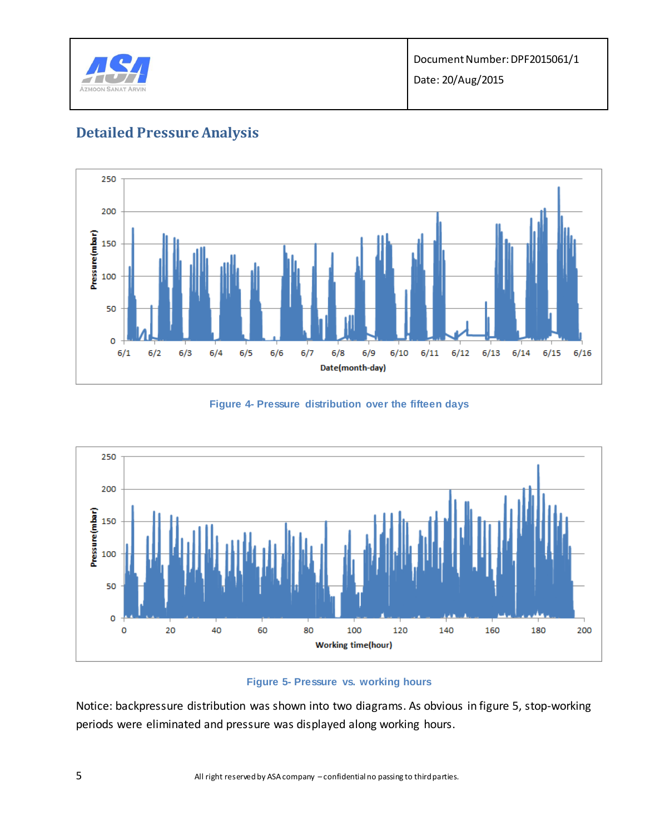

# **Detailed Pressure Analysis**



### **Figure 4- Pressure distribution over the fifteen days**



### **Figure 5- Pressure vs. working hours**

Notice: backpressure distribution was shown into two diagrams. As obvious in figure 5, stop-working periods were eliminated and pressure was displayed along working hours.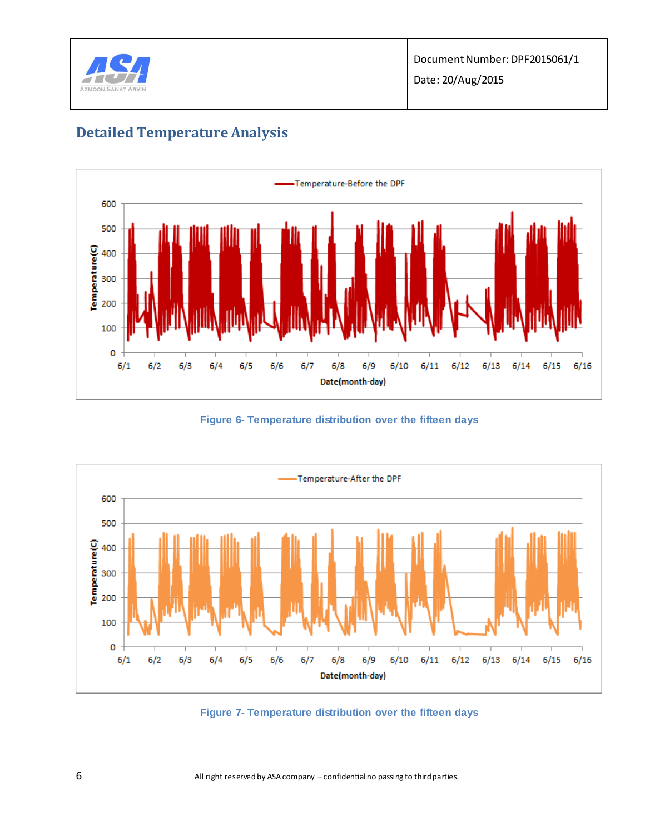

# **Detailed Temperature Analysis**



**Figure 6- Temperature distribution over the fifteen days**



**Figure 7- Temperature distribution over the fifteen days**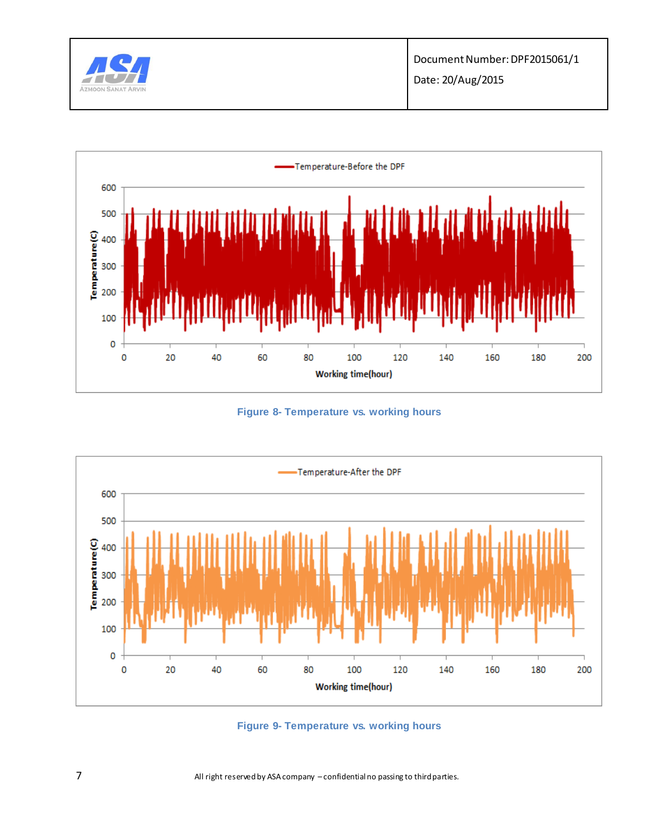



**Figure 8- Temperature vs. working hours** 



**Figure 9- Temperature vs. working hours**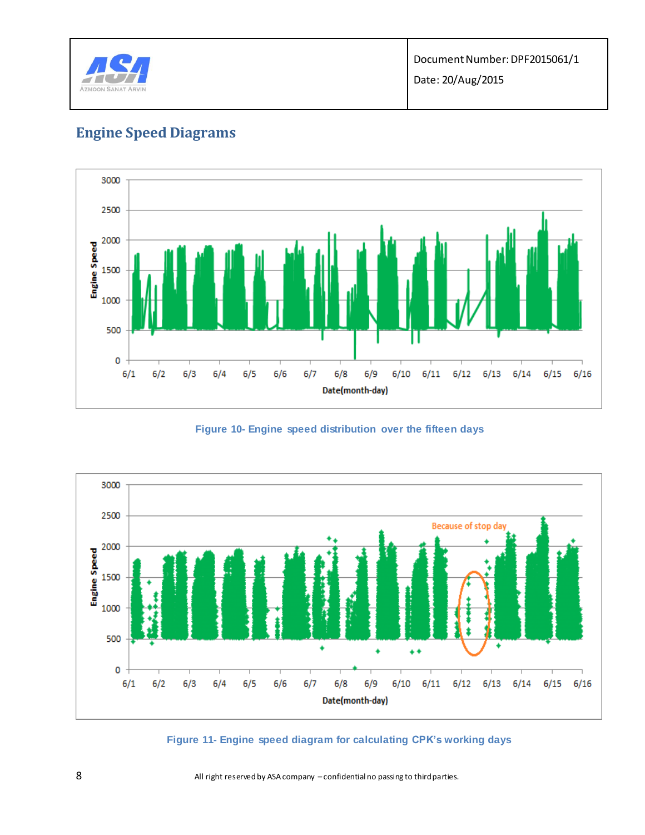



# **Engine Speed Diagrams**

**Figure 10- Engine speed distribution over the fifteen days** 



**Figure 11- Engine speed diagram for calculating CPK's working days**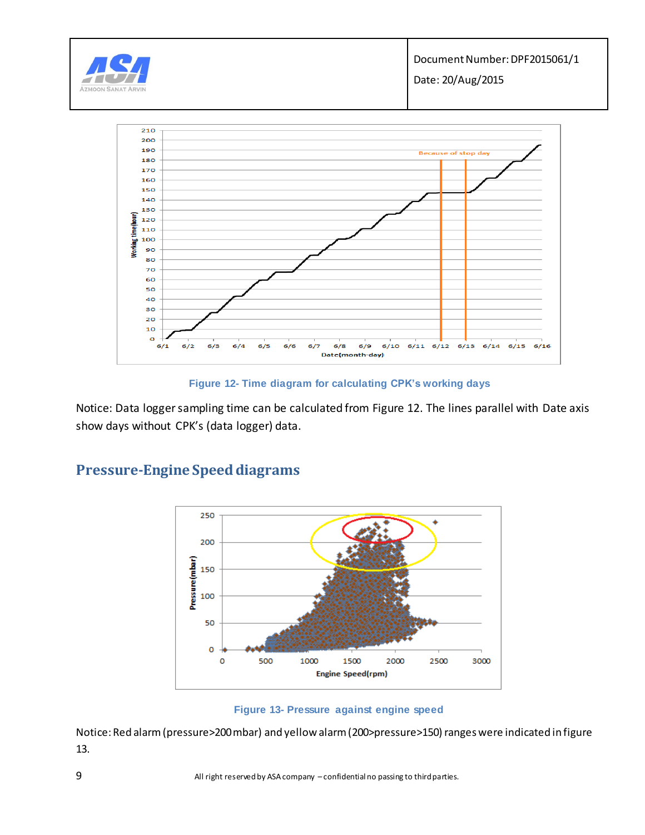

**Figure 12- Time diagram for calculating CPK's working days**

Notice: Data logger sampling time can be calculated from Figure 12. The lines parallel with Date axis show days without CPK's (data logger) data.

### **Pressure-Engine Speed diagrams**



**Figure 13- Pressure against engine speed** 

Notice: Red alarm (pressure>200 mbar) and yellow alarm (200>pressure>150) ranges were indicated in figure 13.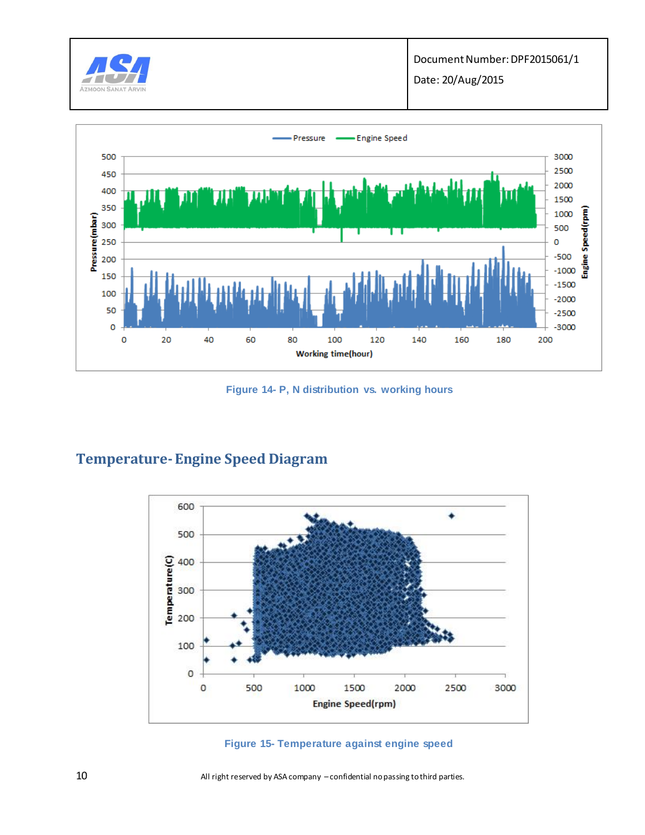



**Figure 14- P, N distribution vs. working hours**

### **Temperature-Engine Speed Diagram**





10 All right reserved by ASA company – confidential no passing to third parties.